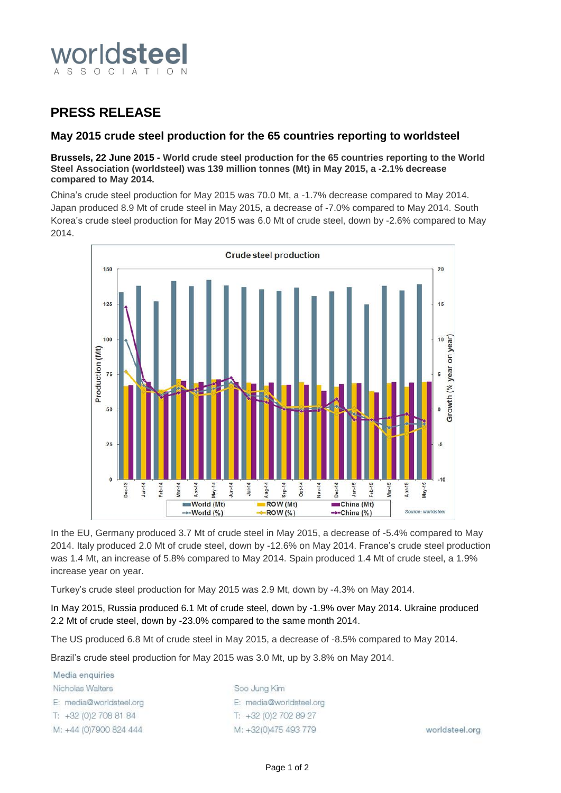

## **PRESS RELEASE**

### **May 2015 crude steel production for the 65 countries reporting to worldsteel**

#### **Brussels, 22 June 2015 - World crude steel production for the 65 countries reporting to the World Steel Association (worldsteel) was 139 million tonnes (Mt) in May 2015, a -2.1% decrease compared to May 2014.**

China's crude steel production for May 2015 was 70.0 Mt, a -1.7% decrease compared to May 2014. Japan produced 8.9 Mt of crude steel in May 2015, a decrease of -7.0% compared to May 2014. South Korea's crude steel production for May 2015 was 6.0 Mt of crude steel, down by -2.6% compared to May 2014.



In the EU, Germany produced 3.7 Mt of crude steel in May 2015, a decrease of -5.4% compared to May 2014. Italy produced 2.0 Mt of crude steel, down by -12.6% on May 2014. France's crude steel production was 1.4 Mt, an increase of 5.8% compared to May 2014. Spain produced 1.4 Mt of crude steel, a 1.9% increase year on year.

Turkey's crude steel production for May 2015 was 2.9 Mt, down by -4.3% on May 2014.

In May 2015, Russia produced 6.1 Mt of crude steel, down by -1.9% over May 2014. Ukraine produced 2.2 Mt of crude steel, down by -23.0% compared to the same month 2014.

The US produced 6.8 Mt of crude steel in May 2015, a decrease of -8.5% compared to May 2014.

Brazil's crude steel production for May 2015 was 3.0 Mt, up by 3.8% on May 2014.

| Media enquiries         |                         |                |
|-------------------------|-------------------------|----------------|
| Nicholas Walters        | Soo Jung Kim            |                |
| E: media@worldsteel.org | E: media@worldsteel.org |                |
| $T: +32(0)27088184$     | $T: +32(0)27028927$     |                |
| M: +44 (0)7900 824 444  | M: +32(0)475 493 779    | worldsteel.org |
|                         |                         |                |